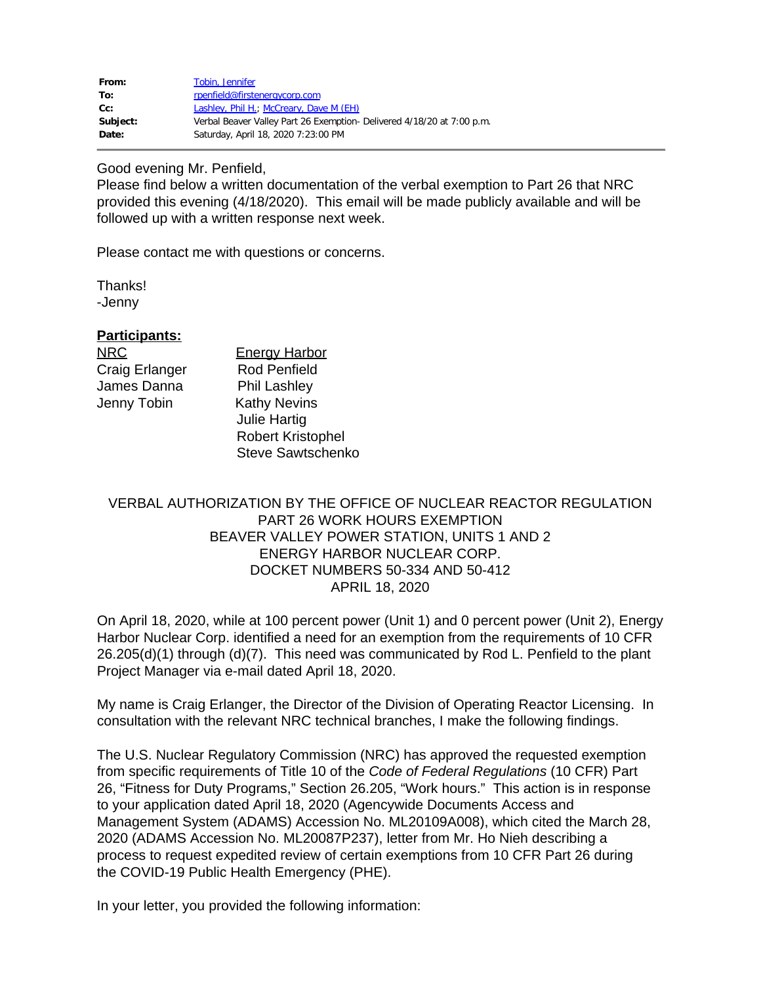| From:    | Tobin, Jennifer                                                         |
|----------|-------------------------------------------------------------------------|
| To:      | rpenfield@firstenergycorp.com                                           |
| Cc:      | Lashley, Phil H.; McCreary, Dave M (EH)                                 |
| Subject: | Verbal Beaver Valley Part 26 Exemption - Delivered 4/18/20 at 7:00 p.m. |
| Date:    | Saturday, April 18, 2020 7:23:00 PM                                     |

## Good evening Mr. Penfield,

Please find below a written documentation of the verbal exemption to Part 26 that NRC provided this evening (4/18/2020). This email will be made publicly available and will be followed up with a written response next week.

Please contact me with questions or concerns.

Thanks!

-Jenny

## **Participants:**

James Danna Phil Lashley

NRC Energy Harbor Craig Erlanger Rod Penfield Jenny Tobin Kathy Nevins Julie Hartig Robert Kristophel Steve Sawtschenko

## VERBAL AUTHORIZATION BY THE OFFICE OF NUCLEAR REACTOR REGULATION PART 26 WORK HOURS EXEMPTION BEAVER VALLEY POWER STATION, UNITS 1 AND 2 ENERGY HARBOR NUCLEAR CORP. DOCKET NUMBERS 50-334 AND 50-412 APRIL 18, 2020

On April 18, 2020, while at 100 percent power (Unit 1) and 0 percent power (Unit 2), Energy Harbor Nuclear Corp. identified a need for an exemption from the requirements of 10 CFR 26.205(d)(1) through (d)(7). This need was communicated by Rod L. Penfield to the plant Project Manager via e-mail dated April 18, 2020.

My name is Craig Erlanger, the Director of the Division of Operating Reactor Licensing. In consultation with the relevant NRC technical branches, I make the following findings.

The U.S. Nuclear Regulatory Commission (NRC) has approved the requested exemption from specific requirements of Title 10 of the *Code of Federal Regulations* (10 CFR) Part 26, "Fitness for Duty Programs," Section 26.205, "Work hours." This action is in response to your application dated April 18, 2020 (Agencywide Documents Access and Management System (ADAMS) Accession No. ML20109A008), which cited the March 28, 2020 (ADAMS Accession No. ML20087P237), letter from Mr. Ho Nieh describing a process to request expedited review of certain exemptions from 10 CFR Part 26 during the COVID-19 Public Health Emergency (PHE).

In your letter, you provided the following information: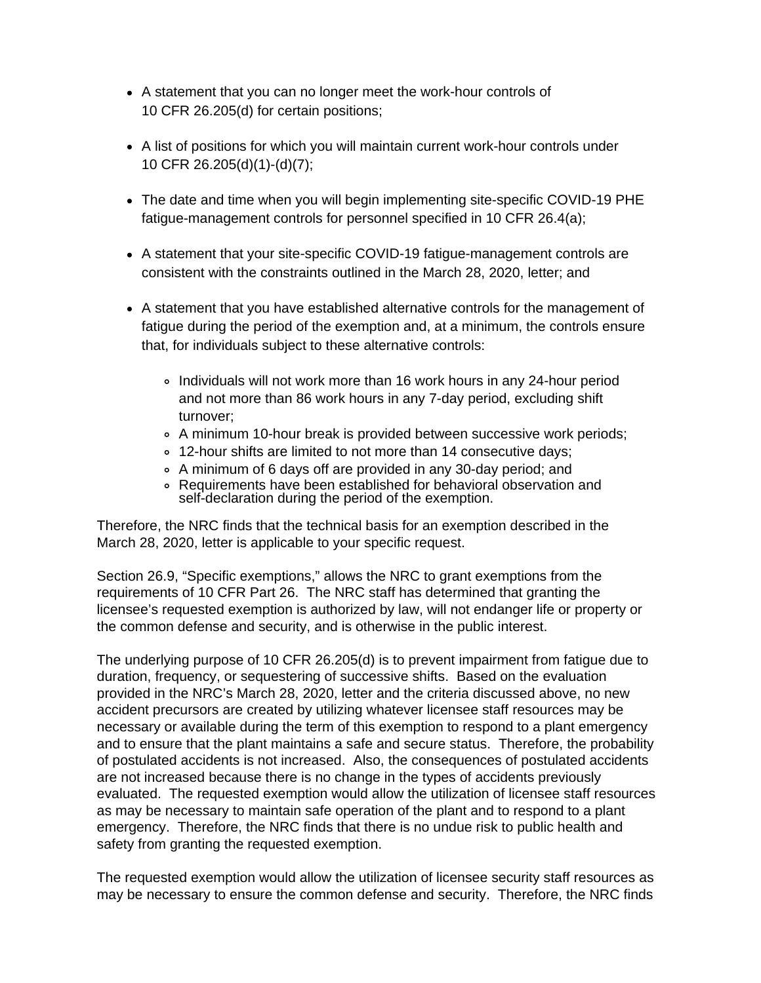- A statement that you can no longer meet the work-hour controls of 10 CFR 26.205(d) for certain positions;
- A list of positions for which you will maintain current work-hour controls under 10 CFR 26.205(d)(1)-(d)(7);
- The date and time when you will begin implementing site-specific COVID-19 PHE fatigue-management controls for personnel specified in 10 CFR 26.4(a);
- A statement that your site-specific COVID-19 fatigue-management controls are consistent with the constraints outlined in the March 28, 2020, letter; and
- A statement that you have established alternative controls for the management of fatigue during the period of the exemption and, at a minimum, the controls ensure that, for individuals subject to these alternative controls:
	- Individuals will not work more than 16 work hours in any 24-hour period and not more than 86 work hours in any 7-day period, excluding shift turnover;
	- A minimum 10-hour break is provided between successive work periods;
	- 12-hour shifts are limited to not more than 14 consecutive days;
	- A minimum of 6 days off are provided in any 30-day period; and
	- Requirements have been established for behavioral observation and self-declaration during the period of the exemption.

Therefore, the NRC finds that the technical basis for an exemption described in the March 28, 2020, letter is applicable to your specific request.

Section 26.9, "Specific exemptions," allows the NRC to grant exemptions from the requirements of 10 CFR Part 26. The NRC staff has determined that granting the licensee's requested exemption is authorized by law, will not endanger life or property or the common defense and security, and is otherwise in the public interest.

The underlying purpose of 10 CFR 26.205(d) is to prevent impairment from fatigue due to duration, frequency, or sequestering of successive shifts. Based on the evaluation provided in the NRC's March 28, 2020, letter and the criteria discussed above, no new accident precursors are created by utilizing whatever licensee staff resources may be necessary or available during the term of this exemption to respond to a plant emergency and to ensure that the plant maintains a safe and secure status. Therefore, the probability of postulated accidents is not increased. Also, the consequences of postulated accidents are not increased because there is no change in the types of accidents previously evaluated. The requested exemption would allow the utilization of licensee staff resources as may be necessary to maintain safe operation of the plant and to respond to a plant emergency. Therefore, the NRC finds that there is no undue risk to public health and safety from granting the requested exemption.

The requested exemption would allow the utilization of licensee security staff resources as may be necessary to ensure the common defense and security. Therefore, the NRC finds